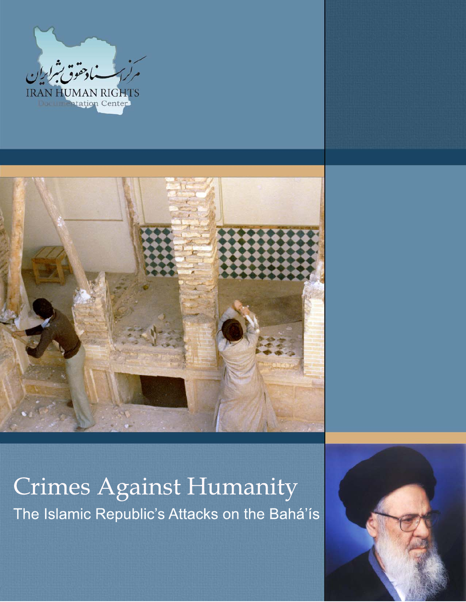



# **Crimes Against Humanity** The Islamic Republic's Attacks on the Bahá'ís

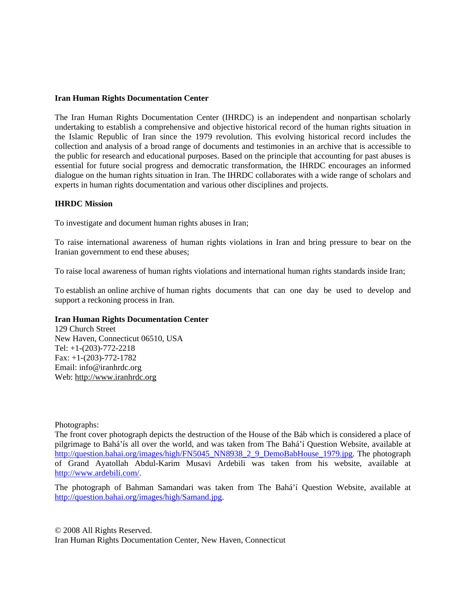#### **Iran Human Rights Documentation Center**

The Iran Human Rights Documentation Center (IHRDC) is an independent and nonpartisan scholarly undertaking to establish a comprehensive and objective historical record of the human rights situation in the Islamic Republic of Iran since the 1979 revolution. This evolving historical record includes the collection and analysis of a broad range of documents and testimonies in an archive that is accessible to the public for research and educational purposes. Based on the principle that accounting for past abuses is essential for future social progress and democratic transformation, the IHRDC encourages an informed dialogue on the human rights situation in Iran. The IHRDC collaborates with a wide range of scholars and experts in human rights documentation and various other disciplines and projects.

#### **IHRDC Mission**

To investigate and document human rights abuses in Iran;

To raise international awareness of human rights violations in Iran and bring pressure to bear on the Iranian government to end these abuses;

To raise local awareness of human rights violations and international human rights standards inside Iran;

To establish an online archive of human rights documents that can one day be used to develop and support a reckoning process in Iran.

#### **Iran Human Rights Documentation Center**

129 Church Street New Haven, Connecticut 06510, USA Tel: +1-(203)-772-2218 Fax: +1-(203)-772-1782 Email: info@iranhrdc.org Web: http://www.iranhrdc.org

Photographs:

The front cover photograph depicts the destruction of the House of the Báb which is considered a place of pilgrimage to Bahá'ís all over the world, and was taken from The Bahá'í Question Website, available at http://question.bahai.org/images/high/FN5045\_NN8938\_2\_9\_DemoBabHouse\_1979.jpg. The photograph of Grand Ayatollah Abdul-Karim Musavi Ardebili was taken from his website, available at http://www.ardebili.com/.

The photograph of Bahman Samandari was taken from The Bahá'í Question Website, available at http://question.bahai.org/images/high/Samand.jpg.

© 2008 All Rights Reserved. Iran Human Rights Documentation Center, New Haven, Connecticut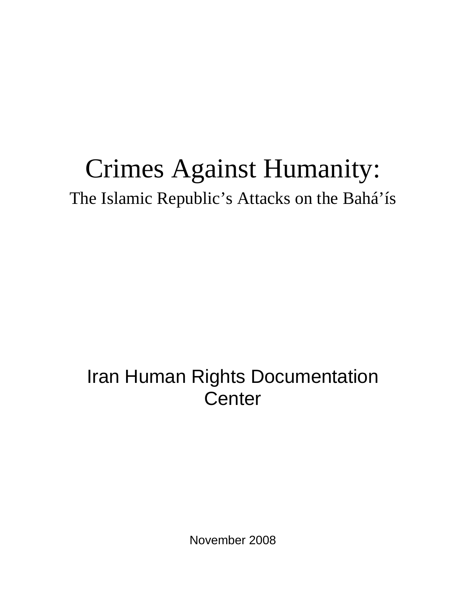# Crimes Against Humanity: The Islamic Republic's Attacks on the Bahá'ís

## Iran Human Rights Documentation **Center**

November 2008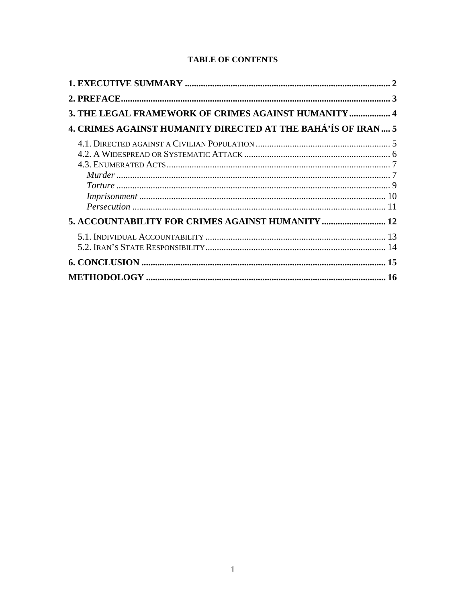#### **TABLE OF CONTENTS**

| 3. THE LEGAL FRAMEWORK OF CRIMES AGAINST HUMANITY 4          |  |
|--------------------------------------------------------------|--|
| 4. CRIMES AGAINST HUMANITY DIRECTED AT THE BAHÁ'ÍS OF IRAN 5 |  |
|                                                              |  |
|                                                              |  |
|                                                              |  |
|                                                              |  |
|                                                              |  |
|                                                              |  |
|                                                              |  |
| 5. ACCOUNTABILITY FOR CRIMES AGAINST HUMANITY  12            |  |
|                                                              |  |
|                                                              |  |
|                                                              |  |
|                                                              |  |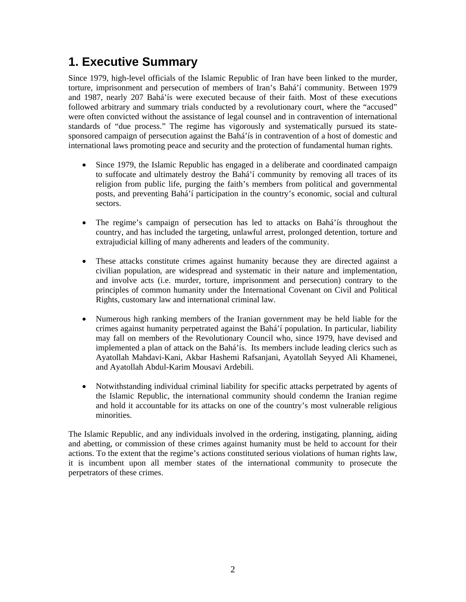## **1. Executive Summary**

Since 1979, high-level officials of the Islamic Republic of Iran have been linked to the murder, torture, imprisonment and persecution of members of Iran's Bahá'í community. Between 1979 and 1987, nearly 207 Bahá'ís were executed because of their faith. Most of these executions followed arbitrary and summary trials conducted by a revolutionary court, where the "accused" were often convicted without the assistance of legal counsel and in contravention of international standards of "due process." The regime has vigorously and systematically pursued its statesponsored campaign of persecution against the Bahá'ís in contravention of a host of domestic and international laws promoting peace and security and the protection of fundamental human rights.

- Since 1979, the Islamic Republic has engaged in a deliberate and coordinated campaign to suffocate and ultimately destroy the Bahá'í community by removing all traces of its religion from public life, purging the faith's members from political and governmental posts, and preventing Bahá'í participation in the country's economic, social and cultural sectors.
- The regime's campaign of persecution has led to attacks on Bahá'ís throughout the country, and has included the targeting, unlawful arrest, prolonged detention, torture and extrajudicial killing of many adherents and leaders of the community.
- These attacks constitute crimes against humanity because they are directed against a civilian population, are widespread and systematic in their nature and implementation, and involve acts (i.e. murder, torture, imprisonment and persecution) contrary to the principles of common humanity under the International Covenant on Civil and Political Rights, customary law and international criminal law.
- Numerous high ranking members of the Iranian government may be held liable for the crimes against humanity perpetrated against the Bahá'í population. In particular, liability may fall on members of the Revolutionary Council who, since 1979, have devised and implemented a plan of attack on the Bahá'ís. Its members include leading clerics such as Ayatollah Mahdavi-Kani, Akbar Hashemi Rafsanjani, Ayatollah Seyyed Ali Khamenei, and Ayatollah Abdul-Karim Mousavi Ardebili.
- Notwithstanding individual criminal liability for specific attacks perpetrated by agents of the Islamic Republic, the international community should condemn the Iranian regime and hold it accountable for its attacks on one of the country's most vulnerable religious minorities.

The Islamic Republic, and any individuals involved in the ordering, instigating, planning, aiding and abetting, or commission of these crimes against humanity must be held to account for their actions. To the extent that the regime's actions constituted serious violations of human rights law, it is incumbent upon all member states of the international community to prosecute the perpetrators of these crimes.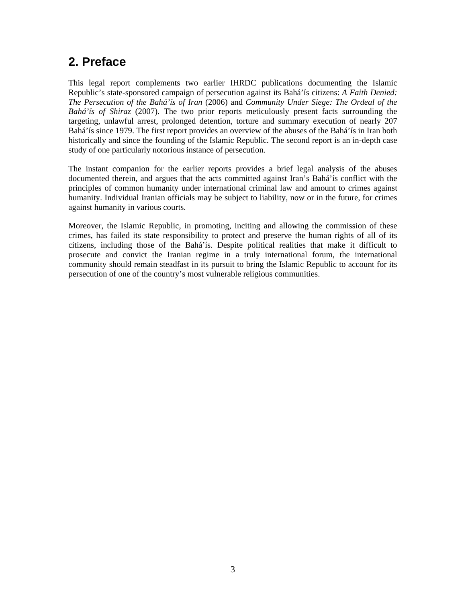## **2. Preface**

This legal report complements two earlier IHRDC publications documenting the Islamic Republic's state-sponsored campaign of persecution against its Bahá'ís citizens: *A Faith Denied: The Persecution of the Bahá'ís of Iran* (2006) and *Community Under Siege: The Ordeal of the Bahá'ís of Shiraz* (2007). The two prior reports meticulously present facts surrounding the targeting, unlawful arrest, prolonged detention, torture and summary execution of nearly 207 Bahá'ís since 1979. The first report provides an overview of the abuses of the Bahá'ís in Iran both historically and since the founding of the Islamic Republic. The second report is an in-depth case study of one particularly notorious instance of persecution.

The instant companion for the earlier reports provides a brief legal analysis of the abuses documented therein, and argues that the acts committed against Iran's Bahá'ís conflict with the principles of common humanity under international criminal law and amount to crimes against humanity. Individual Iranian officials may be subject to liability, now or in the future, for crimes against humanity in various courts.

Moreover, the Islamic Republic, in promoting, inciting and allowing the commission of these crimes, has failed its state responsibility to protect and preserve the human rights of all of its citizens, including those of the Bahá'ís. Despite political realities that make it difficult to prosecute and convict the Iranian regime in a truly international forum, the international community should remain steadfast in its pursuit to bring the Islamic Republic to account for its persecution of one of the country's most vulnerable religious communities.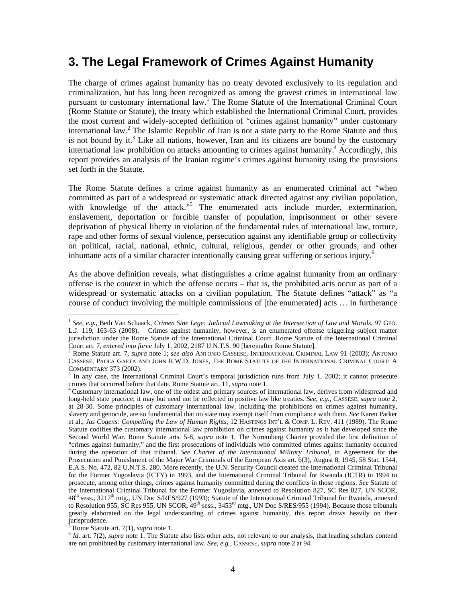#### **3. The Legal Framework of Crimes Against Humanity**

The charge of crimes against humanity has no treaty devoted exclusively to its regulation and criminalization, but has long been recognized as among the gravest crimes in international law pursuant to customary international law.<sup>1</sup> The Rome Statute of the International Criminal Court (Rome Statute or Statute), the treaty which established the International Criminal Court, provides the most current and widely-accepted definition of "crimes against humanity" under customary international law.<sup>2</sup> The Islamic Republic of Iran is not a state party to the Rome Statute and thus is not bound by it.<sup>3</sup> Like all nations, however, Iran and its citizens are bound by the customary international law prohibition on attacks amounting to crimes against humanity.<sup>4</sup> Accordingly, this report provides an analysis of the Iranian regime's crimes against humanity using the provisions set forth in the Statute.

The Rome Statute defines a crime against humanity as an enumerated criminal act "when committed as part of a widespread or systematic attack directed against any civilian population, with knowledge of the attack."<sup>5</sup> The enumerated acts include murder, extermination, enslavement, deportation or forcible transfer of population, imprisonment or other severe deprivation of physical liberty in violation of the fundamental rules of international law, torture, rape and other forms of sexual violence, persecution against any identifiable group or collectivity on political, racial, national, ethnic, cultural, religious, gender or other grounds, and other inhumane acts of a similar character intentionally causing great suffering or serious injury.<sup>6</sup>

As the above definition reveals, what distinguishes a crime against humanity from an ordinary offense is the *context* in which the offense occurs – that is, the prohibited acts occur as part of a widespread or systematic attacks on a civilian population. The Statute defines "attack" as "a course of conduct involving the multiple commissions of [the enumerated] acts … in furtherance

Rome Statute art. 7(1), *supra* note 1.

 $\overline{a}$ 

<sup>&</sup>lt;sup>1</sup> See, e.g., Beth Van Schaack, *Crimen Sine Lege: Judicial Lawmaking at the Intersection of Law and Morals*, 97 GEO. L.J. 119, 163-63 (2008). Crimes against humanity, however, is an enumerated offense triggering subject matter jurisdiction under the Rome Statute of the International Criminal Court. Rome Statute of the International Criminal

Court art. 7, *entered into force* July 1, 2002, 2187 U.N.T.S. 90 [hereinafter Rome Statute]. 2 Rome Statute art. 7, *supra* note 1; *see also* ANTONIO CASSESE, INTERNATIONAL CRIMINAL LAW 91 (2003); ANTONIO CASSESE, PAOLA GAETA AND JOHN R.W.D. JONES, THE ROME STATUTE OF THE INTERNATIONAL CRIMINAL COURT: A COMMENTARY 373 (2002).

<sup>&</sup>lt;sup>3</sup> In any case, the International Criminal Court's temporal jurisdiction runs from July 1, 2002; it cannot prosecute crimes that occurred before that date. Rome Statute art. 11, *supra* note 1.

<sup>&</sup>lt;sup>4</sup> Customary international law, one of the oldest and primary sources of international law, derives from widespread and long-held state practice; it may but need not be reflected in positive law like treaties. *See*, *e.g.*, CASSESE, *supra* note 2, at 28-30. Some principles of customary international law, including the prohibitions on crimes against humanity, slavery and genocide, are so fundamental that no state may exempt itself from compliance with them. *See* Karen Parker et al., *Jus Cogens: Compelling the Law of Human Rights*, 12 HASTINGS INT'L & COMP. L. REV. 411 (1989). The Rome Statute codifies the customary international law prohibition on crimes against humanity as it has developed since the Second World War. Rome Statute arts. 5-8, *supra* note 1. The Nuremberg Charter provided the first definition of "crimes against humanity," and the first prosecutions of individuals who committed crimes against humanity occurred during the operation of that tribunal. *See Charter of the International Military Tribunal*, in Agreement for the Prosecution and Punishment of the Major War Criminals of the European Axis art. 6(3), August 8, 1945, 58 Stat. 1544, E.A.S. No. 472, 82 U.N.T.S. 280. More recently, the U.N. Security Council created the International Criminal Tribunal for the Former Yugoslavia (ICTY) in 1993, and the International Criminal Tribunal for Rwanda (ICTR) in 1994 to prosecute, among other things, crimes against humanity committed during the conflicts in those regions. *See* Statute of the International Criminal Tribunal for the Former Yugoslavia, annexed to Resolution 827, SC Res 827, UN SCOR,  $48<sup>th</sup>$  sess., 3217<sup>th</sup> mtg., UN Doc S/RES/927 (1993); Statute of the International Criminal Tribunal for Rwanda, annexed to Resolution 955, SC Res 955, UN SCOR,  $49<sup>th</sup>$  sess., 3453<sup>rd</sup> mtg., UN Doc S/RES/955 (1994). Because those tribunals greatly elaborated on the legal understanding of crimes against humanity, this report draws heavily on their jurisprudence.

 $6$  *Id.* art. 7(2), *supra* note 1. The Statute also lists other acts, not relevant to our analysis, that leading scholars contend are not prohibited by customary international law. *See*, *e.g.*, CASSESE, *supra* note 2 at 94.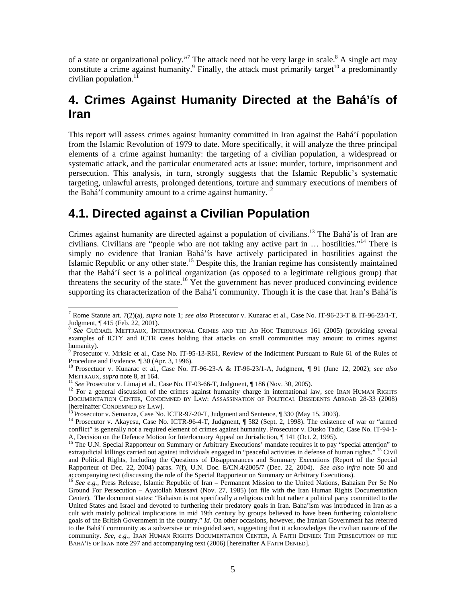of a state or organizational policy."<sup>7</sup> The attack need not be very large in scale.<sup>8</sup> A single act may constitute a crime against humanity.<sup>9</sup> Finally, the attack must primarily target<sup>10</sup> a predominantly civilian population. $^{11}$ 

## **4. Crimes Against Humanity Directed at the Bahá'ís of Iran**

This report will assess crimes against humanity committed in Iran against the Bahá'í population from the Islamic Revolution of 1979 to date. More specifically, it will analyze the three principal elements of a crime against humanity: the targeting of a civilian population, a widespread or systematic attack, and the particular enumerated acts at issue: murder, torture, imprisonment and persecution. This analysis, in turn, strongly suggests that the Islamic Republic's systematic targeting, unlawful arrests, prolonged detentions, torture and summary executions of members of the Bahá'í community amount to a crime against humanity.<sup>12</sup>

## **4.1. Directed against a Civilian Population**

Crimes against humanity are directed against a population of civilians.<sup>13</sup> The Bahá'ís of Iran are civilians. Civilians are "people who are not taking any active part in … hostilities."14 There is simply no evidence that Iranian Bahá'ís have actively participated in hostilities against the Islamic Republic or any other state.<sup>15</sup> Despite this, the Iranian regime has consistently maintained that the Bahá'í sect is a political organization (as opposed to a legitimate religious group) that threatens the security of the state.<sup>16</sup> Yet the government has never produced convincing evidence supporting its characterization of the Bahá'í community. Though it is the case that Iran's Bahá'ís

 7 Rome Statute art. 7(2)(a), *supra* note 1; *see also* Prosecutor v. Kunarac et al., Case No. IT-96-23-T & IT-96-23/1-T, Judgment, ¶ 415 (Feb. 22, 2001).

<sup>8</sup>*See* GUÉNAËL METTRAUX, INTERNATIONAL CRIMES AND THE AD HOC TRIBUNALS 161 (2005) (providing several examples of ICTY and ICTR cases holding that attacks on small communities may amount to crimes against humanity).

<sup>&</sup>lt;sup>9</sup> Prosecutor v. Mrksic et al., Case No. IT-95-13-R61, Review of the Indictment Pursuant to Rule 61 of the Rules of Procedure and Evidence, ¶ 30 (Apr. 3, 1996).

<sup>10</sup> Prosectuor v. Kunarac et al*.*, Case No. IT-96-23-A & IT-96-23/1-A, Judgment, ¶ 91 (June 12, 2002); *see also*

<sup>&</sup>lt;sup>11</sup> See Prosecutor v. Limaj et al., Case No. IT-03-66-T, Judgment,  $\P$  186 (Nov. 30, 2005).<br><sup>12</sup> For a general discussion of the crimes against humanity charge in international law, see IRAN HUMAN RIGHTS DOCUMENTATION CENTER, CONDEMNED BY LAW: ASSASSINATION OF POLITICAL DISSIDENTS ABROAD 28-33 (2008)<br>[hereinafter CONDEMNED BY LAW].<br>[3] D

<sup>&</sup>lt;sup>13</sup> Prosecutor v. Semanza, Case No. ICTR-97-20-T, Judgment and Sentence, ¶ 330 (May 15, 2003).<br><sup>14</sup> Prosecutor v. Akayesu, Case No. ICTR-96-4-T, Judgment, ¶ 582 (Sept. 2, 1998). The existence of war or "armed conflict" is generally not a required element of crimes against humanity. Prosecutor v. Dusko Tadic, Case No. IT-94-1-

A, Decision on the Defence Motion for Interlocutory Appeal on Jurisdiction, || 141 (Oct. 2, 1995).<br><sup>15</sup> The U.N. Special Rapporteur on Summary or Arbitrary Executions' mandate requires it to pay "special attention" to extrajudicial killings carried out against individuals engaged in "peaceful activities in defense of human rights." 15 Civil and Political Rights, Including the Questions of Disappearances and Summary Executions (Report of the Special Rapporteur of Dec. 22, 2004) paras. 7(f), U.N. Doc. E/CN.4/2005/7 (Dec. 22, 2004). *See also infra* note 50 and accompanying text (discussing the role of the Special Rapporteur on Summary or Arbitrary Executions).

<sup>16</sup> *See e.g.*, Press Release, Islamic Republic of Iran – Permanent Mission to the United Nations, Bahaism Per Se No Ground For Persecution – Ayatollah Mussavi (Nov. 27, 1985) (on file with the Iran Human Rights Documentation Center). The document states: "Bahaism is not specifically a religious cult but rather a political party committed to the United States and Israel and devoted to furthering their predatory goals in Iran. Baha'ism was introduced in Iran as a cult with mainly political implications in mid 19th century by groups believed to have been furthering colonialistic goals of the British Government in the country." *Id*. On other occasions, however, the Iranian Government has referred to the Bahá'í community as a subversive or misguided sect, suggesting that it acknowledges the civilian nature of the community. *See*, *e.g.*, IRAN HUMAN RIGHTS DOCUMENTATION CENTER, A FAITH DENIED: THE PERSECUTION OF THE BAHÁ'ÍS OF IRAN note 297 and accompanying text (2006) [hereinafter A FAITH DENIED].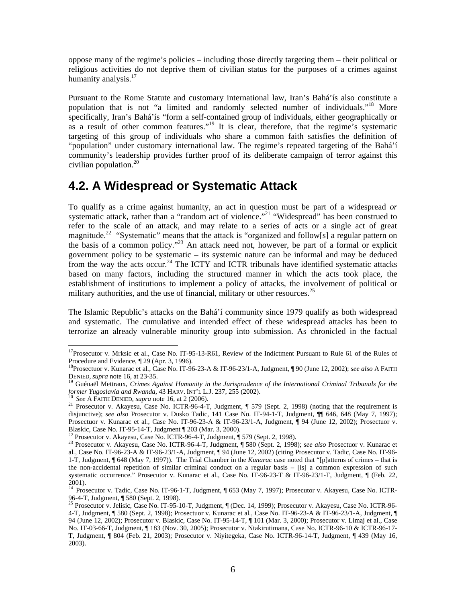oppose many of the regime's policies – including those directly targeting them – their political or religious activities do not deprive them of civilian status for the purposes of a crimes against humanity analysis.<sup>17</sup>

Pursuant to the Rome Statute and customary international law, Iran's Bahá'ís also constitute a population that is not "a limited and randomly selected number of individuals."18 More specifically, Iran's Bahá'ís "form a self-contained group of individuals, either geographically or as a result of other common features."<sup>19</sup> It is clear, therefore, that the regime's systematic targeting of this group of individuals who share a common faith satisfies the definition of "population" under customary international law. The regime's repeated targeting of the Bahá'í community's leadership provides further proof of its deliberate campaign of terror against this civilian population. $20$ 

#### **4.2. A Widespread or Systematic Attack**

To qualify as a crime against humanity, an act in question must be part of a widespread *or* systematic attack, rather than a "random act of violence."<sup>21</sup> "Widespread" has been construed to refer to the scale of an attack, and may relate to a series of acts or a single act of great magnitude.<sup>22</sup> "Systematic" means that the attack is "organized and follow[s] a regular pattern on the basis of a common policy."23 An attack need not, however, be part of a formal or explicit government policy to be systematic – its systemic nature can be informal and may be deduced from the way the acts occur.<sup>24</sup> The ICTY and ICTR tribunals have identified systematic attacks based on many factors, including the structured manner in which the acts took place, the establishment of institutions to implement a policy of attacks, the involvement of political or military authorities, and the use of financial, military or other resources.<sup>25</sup>

The Islamic Republic's attacks on the Bahá'í community since 1979 qualify as both widespread and systematic. The cumulative and intended effect of these widespread attacks has been to terrorize an already vulnerable minority group into submission. As chronicled in the factual

 $\overline{a}$  $17$ Prosecutor v. Mrksic et al., Case No. IT-95-13-R61, Review of the Indictment Pursuant to Rule 61 of the Rules of Procedure and Evidence, ¶ 29 (Apr. 3, 1996).

<sup>18</sup>Prosectuor v. Kunarac et al*.*, Case No. IT-96-23-A & IT-96-23/1-A, Judgment, ¶ 90 (June 12, 2002); *see also* A FAITH

DENIED, *supra* note 16, at 23-35.<br><sup>19</sup> Guénaël Mettraux, *Crimes Against Humanity in the Jurisprudence of the International Criminal Tribunals for the*<br>former Yugoslavia and Rwanda, 43 HARV. INT'L L.J. 237, 255 (2002).

<sup>&</sup>lt;sup>20</sup> See A FAITH DENIED, supra note 16, at 2 (2006).<br><sup>21</sup> Prosecutor v. Akayesu, Case No. ICTR-96-4-T, Judgment, ¶ 579 (Sept. 2, 1998) (noting that the requirement is disjunctive); *see also* Prosecutor v. Dusko Tadic, 141 Case No. IT-94-1-T, Judgment, ¶¶ 646, 648 (May 7, 1997); Prosectuor v. Kunarac et al., Case No. IT-96-23-A & IT-96-23/1-A, Judgment, ¶ 94 (June 12, 2002); Prosectuor v. Blaskic, Case No. IT-95-14-T, Judgment ¶ 203 (Mar. 3, 2000).

<sup>&</sup>lt;sup>22</sup> Prosecutor v. Akayesu, Case No. ICTR-96-4-T, Judgment, ¶ 579 (Sept. 2, 1998).<br><sup>23</sup> Prosecutor v. Akayesu, Case No. ICTR-96-4-T, Judgment, ¶ 580 (Sept. 2, 1998); see also Prosectuor v. Kunarac et al*.*, Case No. IT-96-23-A & IT-96-23/1-A, Judgment, ¶ 94 (June 12, 2002) (citing Prosecutor v. Tadic, Case No. IT-96- 1-T, Judgment, ¶ 648 (May 7, 1997)). The Trial Chamber in the *Kunarac* case noted that "[p]atterns of crimes – that is the non-accidental repetition of similar criminal conduct on a regular basis – [is] a common expression of such systematic occurrence." Prosecutor v. Kunarac et al., Case No. IT-96-23-T & IT-96-23/1-T, Judgment, ¶ (Feb. 22, 2001).

<sup>&</sup>lt;sup>24</sup> Prosecutor v. Tadic, Case No. IT-96-1-T, Judgment, ¶ 653 (May 7, 1997); Prosecutor v. Akayesu, Case No. ICTR-96-4-T, Judgment, ¶ 580 (Sept. 2, 1998).

<sup>&</sup>lt;sup>25</sup> Prosecutor v. Jelisic, Case No. IT-95-10-T, Judgment, ¶ (Dec. 14, 1999); Prosecutor v. Akayesu, Case No. ICTR-96-4-T, Judgment, ¶ 580 (Sept. 2, 1998); Prosectuor v. Kunarac et al*.*, Case No. IT-96-23-A & IT-96-23/1-A, Judgment, ¶ 94 (June 12, 2002); Prosecutor v. Blaskic, Case No. IT-95-14-T, ¶ 101 (Mar. 3, 2000); Prosecutor v. Limaj et al., Case No. IT-03-66-T, Judgment, ¶ 183 (Nov. 30, 2005); Prosecutor v. Ntakirutimana, Case No. ICTR-96-10 & ICTR-96-17- T, Judgment, ¶ 804 (Feb. 21, 2003); Prosecutor v. Niyitegeka, Case No. ICTR-96-14-T, Judgment, ¶ 439 (May 16, 2003).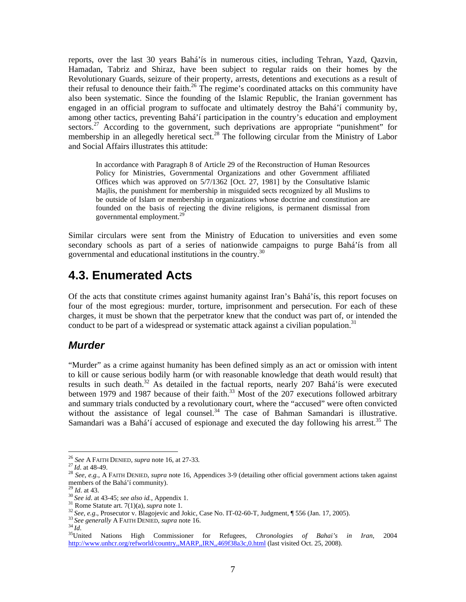reports, over the last 30 years Bahá'ís in numerous cities, including Tehran, Yazd, Qazvin, Hamadan, Tabriz and Shiraz, have been subject to regular raids on their homes by the Revolutionary Guards, seizure of their property, arrests, detentions and executions as a result of their refusal to denounce their faith.<sup>26</sup> The regime's coordinated attacks on this community have also been systematic. Since the founding of the Islamic Republic, the Iranian government has engaged in an official program to suffocate and ultimately destroy the Bahá'í community by, among other tactics, preventing Bahá'í participation in the country's education and employment sectors.<sup>27</sup> According to the government, such deprivations are appropriate "punishment" for membership in an allegedly heretical sect.<sup>28</sup> The following circular from the Ministry of Labor and Social Affairs illustrates this attitude:

In accordance with Paragraph 8 of Article 29 of the Reconstruction of Human Resources Policy for Ministries, Governmental Organizations and other Government affiliated Offices which was approved on 5/7/1362 [Oct. 27, 1981] by the Consultative Islamic Majlis, the punishment for membership in misguided sects recognized by all Muslims to be outside of Islam or membership in organizations whose doctrine and constitution are founded on the basis of rejecting the divine religions, is permanent dismissal from governmental employment.<sup>2</sup>

Similar circulars were sent from the Ministry of Education to universities and even some secondary schools as part of a series of nationwide campaigns to purge Bahá'ís from all governmental and educational institutions in the country.30

## **4.3. Enumerated Acts**

Of the acts that constitute crimes against humanity against Iran's Bahá'ís, this report focuses on four of the most egregious: murder, torture, imprisonment and persecution. For each of these charges, it must be shown that the perpetrator knew that the conduct was part of, or intended the conduct to be part of a widespread or systematic attack against a civilian population.<sup>31</sup>

#### *Murder*

"Murder" as a crime against humanity has been defined simply as an act or omission with intent to kill or cause serious bodily harm (or with reasonable knowledge that death would result) that results in such death.<sup>32</sup> As detailed in the factual reports, nearly 207 Bahá'ís were executed between 1979 and 1987 because of their faith.<sup>33</sup> Most of the 207 executions followed arbitrary and summary trials conducted by a revolutionary court, where the "accused" were often convicted without the assistance of legal counsel.<sup>34</sup> The case of Bahman Samandari is illustrative. Samandari was a Bahá'í accused of espionage and executed the day following his arrest.<sup>35</sup> The

<sup>&</sup>lt;sup>26</sup> See A FAITH DENIED, supra note 16, at 27-33.

<sup>&</sup>lt;sup>27</sup>*Id.* at 48-49.<br><sup>28</sup> *See, e.g.*, A FAITH DENIED, *supra* note 16, Appendices 3-9 (detailing other official government actions taken against members of the Bahá'í community).<br> $^{29}$  *Id.* at 43.

<sup>&</sup>lt;sup>30</sup> See id. at 43-45; see also id., Appendix 1.<br><sup>31</sup> See id. at 43-45; see also id., Appendix 1.<br><sup>32</sup> See, e.g., Prosecutor v. Blagojevic and Jokic, Case No. IT-02-60-T, Judgment, ¶ 556 (Jan. 17, 2005).<br><sup>32</sup> See, e.g., P http://www.unhcr.org/refworld/country,,MARP,,IRN,,469f38a3c,0.html (last visited Oct. 25, 2008).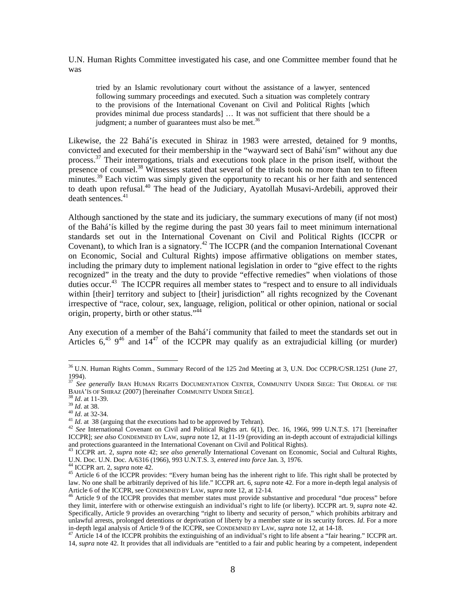U.N. Human Rights Committee investigated his case, and one Committee member found that he was

tried by an Islamic revolutionary court without the assistance of a lawyer, sentenced following summary proceedings and executed. Such a situation was completely contrary to the provisions of the International Covenant on Civil and Political Rights [which provides minimal due process standards] … It was not sufficient that there should be a judgment; a number of guarantees must also be met.<sup>36</sup>

Likewise, the 22 Bahá'ís executed in Shiraz in 1983 were arrested, detained for 9 months, convicted and executed for their membership in the "wayward sect of Bahá'ísm" without any due process.<sup>37</sup> Their interrogations, trials and executions took place in the prison itself, without the presence of counsel.<sup>38</sup> Witnesses stated that several of the trials took no more than ten to fifteen  $\rm{m}$  minutes.<sup>39</sup> Each victim was simply given the opportunity to recant his or her faith and sentenced to death upon refusal.<sup>40</sup> The head of the Judiciary, Ayatollah Musavi-Ardebili, approved their death sentences.<sup>41</sup>

Although sanctioned by the state and its judiciary, the summary executions of many (if not most) of the Bahá'ís killed by the regime during the past 30 years fail to meet minimum international standards set out in the International Covenant on Civil and Political Rights (ICCPR or Covenant), to which Iran is a signatory.<sup>42</sup> The ICCPR (and the companion International Covenant on Economic, Social and Cultural Rights) impose affirmative obligations on member states, including the primary duty to implement national legislation in order to "give effect to the rights recognized" in the treaty and the duty to provide "effective remedies" when violations of those duties occur.<sup>43</sup> The ICCPR requires all member states to "respect and to ensure to all individuals within [their] territory and subject to [their] jurisdiction" all rights recognized by the Covenant irrespective of "race, colour, sex, language, religion, political or other opinion, national or social origin, property, birth or other status."<sup>44</sup>

Any execution of a member of the Bahá'í community that failed to meet the standards set out in Articles  $6^{45}$ ,  $9^{46}$  and  $14^{47}$  of the ICCPR may qualify as an extrajudicial killing (or murder)

 $\overline{a}$ 

<sup>36</sup> U.N. Human Rights Comm., Summary Record of the 125 2nd Meeting at 3, U.N. Doc CCPR/C/SR.1251 (June 27, 1994).

<sup>&</sup>lt;sup>37</sup> See generally IRAN HUMAN RIGHTS DOCUMENTATION CENTER, COMMUNITY UNDER SIEGE: THE ORDEAL OF THE BAHÁ'ÍS OF SHIRAZ (2007) [hereinafter COMMUNITY UNDER SIEGE].<br>
<sup>38</sup> *Id.* at 11-39.<br>
<sup>39</sup> *Id.* at 38.<br>
<sup>40</sup> *Id.* at 32-34.<br>
<sup>41</sup> *Id.* at 38 (arguing that the executions had to be approved by Tehran).<br>
<sup>42</sup> *See* Intern

ICCPR]; *see also* CONDEMNED BY LAW, *supra* note 12, at 11-19 (providing an in-depth account of extrajudicial killings

and protections guaranteed in the International Covenant on Civil and Political Rights).<br><sup>43</sup> ICCPR art. 2, *supra* note 42; *see also generally* International Covenant on Economic, Social and Cultural Rights,<br>U.N. Doc. U.

<sup>&</sup>lt;sup>44</sup> ICCPR art. 2, *supra* note 42.<br><sup>45</sup> Article 6 of the ICCPR provides: "Every human being has the inherent right to life. This right shall be protected by law. No one shall be arbitrarily deprived of his life." ICCPR art. 6, *supra* note 42. For a more in-depth legal analysis of Article 6 of the ICCPR, see CONDEMNED BY LAW, *supra* note 12, at 12-14.<br><sup>46</sup> Article 9 of the ICCPR provides that member states must provide substantive and procedural "due process" before

they limit, interfere with or otherwise extinguish an individual's right to life (or liberty). ICCPR art. 9, *supra* note 42. Specifically, Article 9 provides an overarching "right to liberty and security of person," which prohibits arbitrary and unlawful arrests, prolonged detentions or deprivation of liberty by a member state or its security forces. *Id*. For a more in-depth legal analysis of Article 9 of the ICCPR, see CONDEMNED BY LAW, *supra* note 12, at 14-18

<sup>&</sup>lt;sup>47</sup> Article 14 of the ICCPR prohibits the extinguishing of an individual's right to life absent a "fair hearing." ICCPR art. 14, *supra* note 42. It provides that all individuals are "entitled to a fair and public hearing by a competent, independent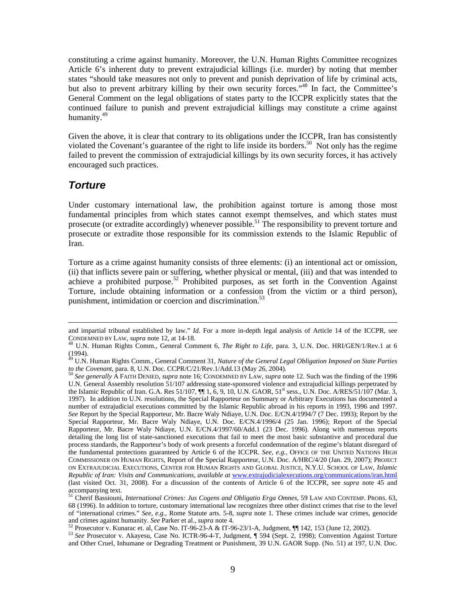constituting a crime against humanity. Moreover, the U.N. Human Rights Committee recognizes Article 6's inherent duty to prevent extrajudicial killings (i.e. murder) by noting that member states "should take measures not only to prevent and punish deprivation of life by criminal acts, but also to prevent arbitrary killing by their own security forces."<sup>48</sup> In fact, the Committee's General Comment on the legal obligations of states party to the ICCPR explicitly states that the continued failure to punish and prevent extrajudicial killings may constitute a crime against humanity.<sup>49</sup>

Given the above, it is clear that contrary to its obligations under the ICCPR, Iran has consistently violated the Covenant's guarantee of the right to life inside its borders.<sup>50</sup> Not only has the regime failed to prevent the commission of extrajudicial killings by its own security forces, it has actively encouraged such practices.

#### *Torture*

Under customary international law, the prohibition against torture is among those most fundamental principles from which states cannot exempt themselves, and which states must prosecute (or extradite accordingly) whenever possible.<sup>51</sup> The responsibility to prevent torture and prosecute or extradite those responsible for its commission extends to the Islamic Republic of Iran.

Torture as a crime against humanity consists of three elements: (i) an intentional act or omission, (ii) that inflicts severe pain or suffering, whether physical or mental, (iii) and that was intended to achieve a prohibited purpose.52 Prohibited purposes, as set forth in the Convention Against Torture, include obtaining information or a confession (from the victim or a third person), punishment, intimidation or coercion and discrimination.<sup>53</sup>

and impartial tribunal established by law." *Id*. For a more in-depth legal analysis of Article 14 of the ICCPR, see CONDEMNED BY LAW, *supra* note 12, at 14-18.

<sup>&</sup>lt;sup>48</sup> U.N. Human Rights Comm., General Comment 6, *The Right to Life*, para. 3, U.N. Doc. HRI/GEN/1/Rev.1 at 6 (1994).

<sup>49</sup> U.N. Human Rights Comm., General Comment 31, *Nature of the General Legal Obligation Imposed on State Parties to the Covenant*, para. 8, U.N. Doc. CCPR/C/21/Rev.1/Add.13 (May 26, 2004). <sup>50</sup> *See generally* A FAITH DENIED, *supra* note 16; CONDEMNED BY LAW, *supra* note 12. Such was the finding of the 1996

U.N. General Assembly resolution 51/107 addressing state-sponsored violence and extrajudicial killings perpetrated by the Islamic Republic of Iran. G.A. Res 51/107,  $\P\P$  1, 6, 9, 10, U.N. GAOR, 51<sup>st</sup> sess., U.N. Doc. A/RES/51/107 (Mar. 3, 1997). In addition to U.N. resolutions, the Special Rapporteur on Summary or Arbitrary Executions has documented a number of extrajudicial executions committed by the Islamic Republic abroad in his reports in 1993, 1996 and 1997. *See* Report by the Special Rapporteur, Mr. Bacre Waly Ndiaye, U.N. Doc. E/CN.4/1994/7 (7 Dec. 1993); Report by the Special Rapporteur, Mr. Bacre Waly Ndiaye, U.N. Doc. E/CN.4/1996/4 (25 Jan. 1996); Report of the Special Rapporteur, Mr. Bacre Waly Ndiaye, U.N. E/CN.4/1997/60/Add.1 (23 Dec. 1996). Along with numerous reports detailing the long list of state-sanctioned executions that fail to meet the most basic substantive and procedural due process standards, the Rapporteur's body of work presents a forceful condemnation of the regime's blatant disregard of the fundamental protections guaranteed by Article 6 of the ICCPR. *See, e.g.,* OFFICE OF THE UNITED NATIONS HIGH COMMISSIONER ON HUMAN RIGHTS, Report of the Special Rapporteur, U.N. Doc. A/HRC/4/20 (Jan. 29, 2007); PROJECT ON EXTRAJUDICIAL EXECUTIONS, CENTER FOR HUMAN RIGHTS AND GLOBAL JUSTICE, N.Y.U. SCHOOL OF LAW, *Islamic Republic of Iran: Visits and Communications, available at* www.extrajudicialexecutions.org/communications/iran.html (last visited Oct. 31, 2008). For a discussion of the contents of Article 6 of the ICCPR, see *supra* note 45 and accompanying text.

<sup>51</sup> Cherif Bassiouni, *International Crimes: Jus Cogens and Obligatio Erga Omnes*, 59 LAW AND CONTEMP. PROBS. 63, 68 (1996). In addition to torture, customary international law recognizes three other distinct crimes that rise to the level of "international crimes." *See*, *e.g.*, Rome Statute arts. 5-8, *supra* note 1. These crimes include war crimes, genocide

<sup>&</sup>lt;sup>52</sup> Prosecutor v. Kunarac et. al, Case No. IT-96-23-A & IT-96-23/1-A, Judgment,  $\P\P$  142, 153 (June 12, 2002).<br><sup>53</sup> See Prosecutor v. Akayesu, Case No. ICTR-96-4-T, Judgment,  $\P$  594 (Sept. 2, 1998); Convention Against T and Other Cruel, Inhumane or Degrading Treatment or Punishment, 39 U.N. GAOR Supp. (No. 51) at 197, U.N. Doc.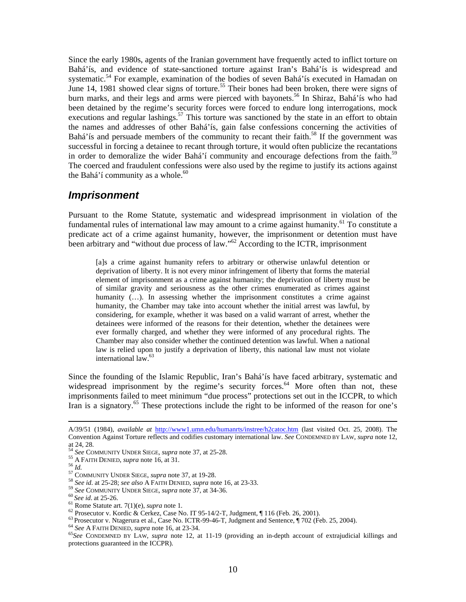Since the early 1980s, agents of the Iranian government have frequently acted to inflict torture on Bahá'ís, and evidence of state-sanctioned torture against Iran's Bahá'ís is widespread and systematic.<sup>54</sup> For example, examination of the bodies of seven Bahá'ís executed in Hamadan on June 14, 1981 showed clear signs of torture.<sup>55</sup> Their bones had been broken, there were signs of burn marks, and their legs and arms were pierced with bayonets.<sup>56</sup> In Shiraz, Bahá'ís who had been detained by the regime's security forces were forced to endure long interrogations, mock executions and regular lashings.<sup>57</sup> This torture was sanctioned by the state in an effort to obtain the names and addresses of other Bahá'ís, gain false confessions concerning the activities of Bahá'ís and persuade members of the community to recant their faith.<sup>58</sup> If the government was successful in forcing a detainee to recant through torture, it would often publicize the recantations in order to demoralize the wider Bahá'í community and encourage defections from the faith.<sup>59</sup> The coerced and fraudulent confessions were also used by the regime to justify its actions against the Bahá'í community as a whole. $60$ 

#### *Imprisonment*

Pursuant to the Rome Statute, systematic and widespread imprisonment in violation of the fundamental rules of international law may amount to a crime against humanity.<sup>61</sup> To constitute a predicate act of a crime against humanity, however, the imprisonment or detention must have been arbitrary and "without due process of law." $^{62}$  According to the ICTR, imprisonment

[a]s a crime against humanity refers to arbitrary or otherwise unlawful detention or deprivation of liberty. It is not every minor infringement of liberty that forms the material element of imprisonment as a crime against humanity; the deprivation of liberty must be of similar gravity and seriousness as the other crimes enumerated as crimes against humanity (...). In assessing whether the imprisonment constitutes a crime against humanity, the Chamber may take into account whether the initial arrest was lawful, by considering, for example, whether it was based on a valid warrant of arrest, whether the detainees were informed of the reasons for their detention, whether the detainees were ever formally charged, and whether they were informed of any procedural rights. The Chamber may also consider whether the continued detention was lawful. When a national law is relied upon to justify a deprivation of liberty, this national law must not violate international law.<sup>63</sup>

Since the founding of the Islamic Republic, Iran's Bahá'ís have faced arbitrary, systematic and widespread imprisonment by the regime's security forces. $^{64}$  More often than not, these imprisonments failed to meet minimum "due process" protections set out in the ICCPR, to which Iran is a signatory.<sup>65</sup> These protections include the right to be informed of the reason for one's

A/39/51 (1984), *available at* http://www1.umn.edu/humanrts/instree/h2catoc.htm (last visited Oct. 25, 2008). The Convention Against Torture reflects and codifies customary international law. *See* CONDEMNED BY LAW, *supra* note 12, at 24, 28.<br><sup>54</sup> See COMMUNITY UNDER SIEGE, *supra* note 37, at 25-28.

<sup>&</sup>lt;sup>54</sup> See COMMUNITY UNDER SIEGE, *supra* note 37, at 25-28.<br><sup>55</sup> A FAITH DENIED, *supra* note 16, at 31.<br><sup>57</sup> COMMUNITY UNDER SIEGE, *supra* note 37, at 19-28.<br><sup>57</sup> COMMUNITY UNDER SIEGE, *supra* note 37, at 19-28.<br><sup>59</sup> Se protections guaranteed in the ICCPR).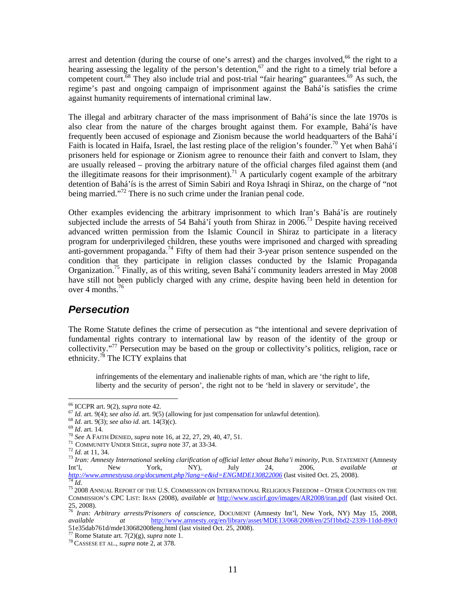arrest and detention (during the course of one's arrest) and the charges involved, $66$  the right to a hearing assessing the legality of the person's detention,<sup>67</sup> and the right to a timely trial before a competent court.<sup>68</sup> They also include trial and post-trial "fair hearing" guarantees.<sup>69</sup> As such, the regime's past and ongoing campaign of imprisonment against the Bahá'ís satisfies the crime against humanity requirements of international criminal law.

The illegal and arbitrary character of the mass imprisonment of Bahá'ís since the late 1970s is also clear from the nature of the charges brought against them. For example, Bahá'ís have frequently been accused of espionage and Zionism because the world headquarters of the Bahá'í Faith is located in Haifa, Israel, the last resting place of the religion's founder.<sup>70</sup> Yet when Bahá'í prisoners held for espionage or Zionism agree to renounce their faith and convert to Islam, they are usually released – proving the arbitrary nature of the official charges filed against them (and the illegitimate reasons for their imprisonment).<sup>71</sup> A particularly cogent example of the arbitrary detention of Bahá'ís is the arrest of Simin Sabiri and Roya Ishraqi in Shiraz, on the charge of "not being married."<sup>72</sup> There is no such crime under the Iranian penal code.

Other examples evidencing the arbitrary imprisonment to which Iran's Bahá'ís are routinely subjected include the arrests of 54 Bahá'í youth from Shiraz in  $2006$ <sup>73</sup> Despite having received advanced written permission from the Islamic Council in Shiraz to participate in a literacy program for underprivileged children, these youths were imprisoned and charged with spreading anti-government propaganda.<sup>74</sup> Fifty of them had their 3-year prison sentence suspended on the condition that they participate in religion classes conducted by the Islamic Propaganda Organization.75 Finally, as of this writing, seven Bahá'í community leaders arrested in May 2008 have still not been publicly charged with any crime, despite having been held in detention for over 4 months. $^{76}$ 

#### *Persecution*

The Rome Statute defines the crime of persecution as "the intentional and severe deprivation of fundamental rights contrary to international law by reason of the identity of the group or collectivity."77 Persecution may be based on the group or collectivity's politics, religion, race or ethnicity.78 The ICTY explains that

infringements of the elementary and inalienable rights of man, which are 'the right to life, liberty and the security of person', the right not to be 'held in slavery or servitude', the

 $66$  ICCPR art. 9(2), supra note 42.

<sup>&</sup>lt;sup>67</sup> *Id.* art. 9(4); see also id. art. 9(5) (allowing for just compensation for unlawful detention).<br>
<sup>67</sup> *Id.* art. 9(3); see also id. art. 14(3)(c).<br>
<sup>69</sup> *Id.* art. 14.<br>
<sup>70</sup> See A FAITH DENIED, supra note 16, at 22, Int'l, New York, NY), July 24, 2006, *available at http://www.amnestyusa.org/document.php?lang=e&id=ENGMDE130822006* (last visited Oct. 25, 2008).<br><sup>74</sup> *Id.*<br><sup>75</sup> 2008 Annual Report of the U.S. Commission on International Religious Freedom – Other Countries on the

COMMISSION'S CPC LIST: IRAN (2008), *available at* http://www.uscirf.gov/images/AR2008/iran.pdf (last visited Oct. 25, 2008).

<sup>76</sup> *Iran: Arbitrary arrests/Prisoners of conscience*, DOCUMENT (Amnesty Int'l, New York, NY) May 15, 2008, *available at* http://www.amnesty.org/en/library/asset/MDE13/068/2008/en/25f1bbd2-2339-11dd-89c0 51e35dab761d/mde130682008eng.html (last visited Oct. 25, 2008). 77 Rome Statute art. 7(2)(g), *supra* note 1. 78 CASSESE ET AL., *supra* note 2, at 378.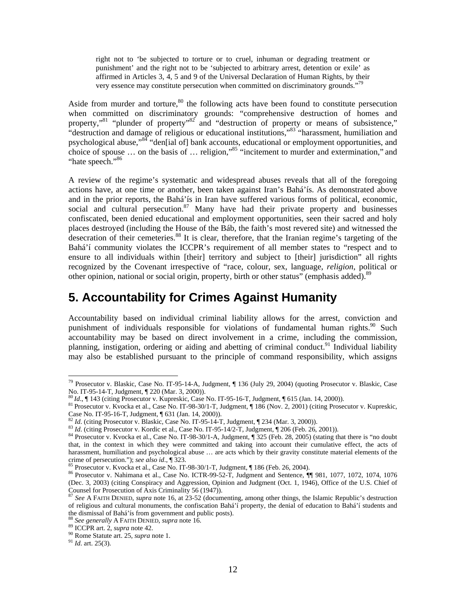right not to 'be subjected to torture or to cruel, inhuman or degrading treatment or punishment' and the right not to be 'subjected to arbitrary arrest, detention or exile' as affirmed in Articles 3, 4, 5 and 9 of the Universal Declaration of Human Rights, by their very essence may constitute persecution when committed on discriminatory grounds."<sup>79</sup>

Aside from murder and torture,  $80$  the following acts have been found to constitute persecution when committed on discriminatory grounds: "comprehensive destruction of homes and property,"<sup>81</sup> "plunder of property"<sup>82</sup> and "destruction of property or means of subsistence," "destruction and damage of religious or educational institutions,"83 "harassment, humiliation and psychological abuse,"<sup>84</sup> "den[ial of] bank accounts, educational or employment opportunities, and choice of spouse … on the basis of … religion,"85 "incitement to murder and extermination," and "hate speech."<sup>86</sup>

A review of the regime's systematic and widespread abuses reveals that all of the foregoing actions have, at one time or another, been taken against Iran's Bahá'ís. As demonstrated above and in the prior reports, the Bahá'ís in Iran have suffered various forms of political, economic, social and cultural persecution.<sup>87</sup> Many have had their private property and businesses confiscated, been denied educational and employment opportunities, seen their sacred and holy places destroyed (including the House of the Báb, the faith's most revered site) and witnessed the desecration of their cemeteries.<sup>88</sup> It is clear, therefore, that the Iranian regime's targeting of the Bahá'í community violates the ICCPR's requirement of all member states to "respect and to ensure to all individuals within [their] territory and subject to [their] jurisdiction" all rights recognized by the Covenant irrespective of "race, colour, sex, language, *religion*, political or other opinion, national or social origin, property, birth or other status" (emphasis added).<sup>89</sup>

#### **5. Accountability for Crimes Against Humanity**

Accountability based on individual criminal liability allows for the arrest, conviction and punishment of individuals responsible for violations of fundamental human rights.<sup>90</sup> Such accountability may be based on direct involvement in a crime, including the commission, planning, instigation, ordering or aiding and abetting of criminal conduct.<sup>91</sup> Individual liability may also be established pursuant to the principle of command responsibility, which assigns

 $\overline{a}$ 

<sup>&</sup>lt;sup>79</sup> Prosecutor v. Blaskic, Case No. IT-95-14-A, Judgment, ¶ 136 (July 29, 2004) (quoting Prosecutor v. Blaskic, Case

No. IT-95-14-T, Judgment, ¶ 220 (Mar. 3, 2000)).<br><sup>80</sup> *Id.*, ¶ 143 (citing Prosecutor v. Kupreskic, Case No. IT-95-16-T, Judgment, ¶ 615 (Jan. 14, 2000)).<br><sup>81</sup> Prosecutor v. Kvocka et al., Case No. IT-98-30/1-T, Judgment, Case No. IT-95-16-T, Judgment, ¶ 631 (Jan. 14, 2000)).<br>
<sup>82</sup> *Id.* (citing Prosecutor v. Blaskic, Case No. IT-95-14-T, Judgment, ¶ 234 (Mar. 3, 2000)).

<sup>&</sup>lt;sup>83</sup> Id. (citing Prosecutor v. Kordic et al., Case No. IT-95-14/2-T, Judgment,  $\P$  206 (Feb. 26, 2001)).<br><sup>84</sup> Prosecutor v. Kvocka et al., Case No. IT-98-30/1-A, Judgment,  $\P$  325 (Feb. 28, 2005) (stating that there is "n that, in the context in which they were committed and taking into account their cumulative effect, the acts of harassment, humiliation and psychological abuse … are acts which by their gravity constitute material elements of the erime of persecution."); see also id., ¶ 323.<br>
<sup>85</sup> Prosecutor v. Kvocka et al., Case No. IT-98-30/1-T, Judgment, ¶ 186 (Feb. 26, 2004).<br>
<sup>86</sup> Prosecutor v. Nahimana et al., Case No. ICTR-99-52-T, Judgment and Sentence, ¶¶

<sup>(</sup>Dec. 3, 2003) (citing Conspiracy and Aggression, Opinion and Judgment (Oct. 1, 1946), Office of the U.S. Chief of Counsel for Prosecution of Axis Criminality 56 (1947)).

<sup>87</sup> *See* A FAITH DENIED, *supra* note 16, at 23-52 (documenting, among other things, the Islamic Republic's destruction of religious and cultural monuments, the confiscation Bahá'í property, the denial of education to Bahá'í students and the dismissal of Bahá'ís from government and public posts).<br><sup>88</sup> *See generally* A FAITH DENIED, *supra* note 16.<br><sup>89</sup> ICCPR art. 2, *supra* note 42.<br><sup>90</sup> Rome Statute art. 25, *supra* note 1.<br><sup>91</sup> *Id.* art. 25(3).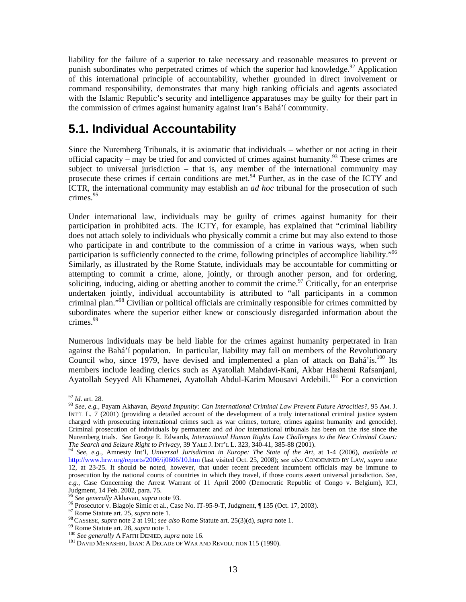liability for the failure of a superior to take necessary and reasonable measures to prevent or punish subordinates who perpetrated crimes of which the superior had knowledge.<sup>92</sup> Application of this international principle of accountability, whether grounded in direct involvement or command responsibility, demonstrates that many high ranking officials and agents associated with the Islamic Republic's security and intelligence apparatuses may be guilty for their part in the commission of crimes against humanity against Iran's Bahá'í community.

## **5.1. Individual Accountability**

Since the Nuremberg Tribunals, it is axiomatic that individuals – whether or not acting in their official capacity – may be tried for and convicted of crimes against humanity.<sup>93</sup> These crimes are subject to universal jurisdiction – that is, any member of the international community may prosecute these crimes if certain conditions are met.<sup>94</sup> Further, as in the case of the ICTY and ICTR, the international community may establish an *ad hoc* tribunal for the prosecution of such crimes.<sup>95</sup>

Under international law, individuals may be guilty of crimes against humanity for their participation in prohibited acts. The ICTY, for example, has explained that "criminal liability does not attach solely to individuals who physically commit a crime but may also extend to those who participate in and contribute to the commission of a crime in various ways, when such participation is sufficiently connected to the crime, following principles of accomplice liability."<sup>96</sup> Similarly, as illustrated by the Rome Statute, individuals may be accountable for committing or attempting to commit a crime, alone, jointly, or through another person, and for ordering, soliciting, inducing, aiding or abetting another to commit the crime.<sup>97</sup> Critically, for an enterprise undertaken jointly, individual accountability is attributed to "all participants in a common criminal plan."98 Civilian or political officials are criminally responsible for crimes committed by subordinates where the superior either knew or consciously disregarded information about the crimes.<sup>99</sup>

Numerous individuals may be held liable for the crimes against humanity perpetrated in Iran against the Bahá'í population. In particular, liability may fall on members of the Revolutionary Council who, since 1979, have devised and implemented a plan of attack on Bahá'ís.<sup>100</sup> Its members include leading clerics such as Ayatollah Mahdavi-Kani, Akbar Hashemi Rafsanjani, Ayatollah Seyyed Ali Khamenei, Ayatollah Abdul-Karim Mousavi Ardebili.<sup>101</sup> For a conviction

 $92$  *Id.* art. 28.

<sup>92</sup> *Id*. art. 28. 93 *See*, *e.g.*, Payam Akhavan, *Beyond Impunity: Can International Criminal Law Prevent Future Atrocities?*, 95 AM. J. INT'L L. 7 (2001) (providing a detailed account of the development of a truly international criminal justice system charged with prosecuting international crimes such as war crimes, torture, crimes against humanity and genocide). Criminal prosecution of individuals by permanent and *ad hoc* international tribunals has been on the rise since the Nuremberg trials. *See* George E. Edwards, *International Human Rights Law Challenges to the New Criminal Court: The Search and Seizure Right to Privacy*, 39 YALE J. INT'L L. 323, 340-41, 385-88 (2001).

<sup>&</sup>lt;sup>94</sup> See, e.g., Amnesty Int'l, Universal Jurisdiction in Europe: The State of the Art, at 1-4 (2006), available at http://www.hrw.org/reports/2006/ij0606/10.htm (last visited Oct. 25, 2008); *see also* CONDEMNED BY LAW, *supra* note 12, at 23-25. It should be noted, however, that under recent precedent incumbent officials may be immune to prosecution by the national courts of countries in which they travel, if those courts assert universal jurisdiction. *See*, *e.g.*, Case Concerning the Arrest Warrant of 11 April 2000 (Democratic Republic of Congo v. Belgium), ICJ, Judgment, 14 Feb. 2002, para. 75.<br><sup>95</sup> See generally Akhavan, supra note 93.

<sup>&</sup>lt;sup>96</sup> Prosecutor v. Blagoje Simic et al., Case No. IT-95-9-T, Judgment, ¶ 135 (Oct. 17, 2003).<br><sup>97</sup> Rome Statute art. 25, *supra* note 1.<br><sup>98</sup> CASSESE, *supra* note 2 at 191; *see also* Rome Statute art. 25(3)(d), *supra*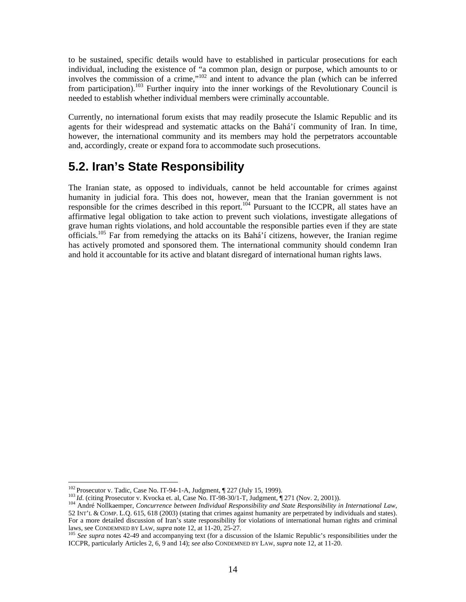to be sustained, specific details would have to established in particular prosecutions for each individual, including the existence of "a common plan, design or purpose, which amounts to or involves the commission of a crime,"102 and intent to advance the plan (which can be inferred from participation).<sup>103</sup> Further inquiry into the inner workings of the Revolutionary Council is needed to establish whether individual members were criminally accountable.

Currently, no international forum exists that may readily prosecute the Islamic Republic and its agents for their widespread and systematic attacks on the Bahá'í community of Iran. In time, however, the international community and its members may hold the perpetrators accountable and, accordingly, create or expand fora to accommodate such prosecutions.

## **5.2. Iran's State Responsibility**

The Iranian state, as opposed to individuals, cannot be held accountable for crimes against humanity in judicial fora. This does not, however, mean that the Iranian government is not responsible for the crimes described in this report.<sup>104</sup> Pursuant to the ICCPR, all states have an affirmative legal obligation to take action to prevent such violations, investigate allegations of grave human rights violations, and hold accountable the responsible parties even if they are state officials.105 Far from remedying the attacks on its Bahá'í citizens, however, the Iranian regime has actively promoted and sponsored them. The international community should condemn Iran and hold it accountable for its active and blatant disregard of international human rights laws.

 $\overline{a}$ 

<sup>&</sup>lt;sup>102</sup> Prosecutor v. Tadic, Case No. IT-94-1-A, Judgment, ¶ 227 (July 15, 1999).<br><sup>103</sup> Id. (citing Prosecutor v. Kvocka et. al, Case No. IT-98-30/1-T, Judgment, ¶ 271 (Nov. 2, 2001)).<br><sup>104</sup> André Nollkaemper, *Concurrence b* 52 INT'L & COMP. L.Q. 615, 618 (2003) (stating that crimes against humanity are perpetrated by individuals and states). For a more detailed discussion of Iran's state responsibility for violations of international human rights and criminal laws, see CONDEMNED BY LAW, *supra* note 12, at 11-20, 25-27.<br><sup>105</sup> *See supra* notes 42-49 and accompanying text (for a discussion of the Islamic Republic's responsibilities under the

ICCPR, particularly Articles 2, 6, 9 and 14); *see also* CONDEMNED BY LAW, *supra* note 12, at 11-20.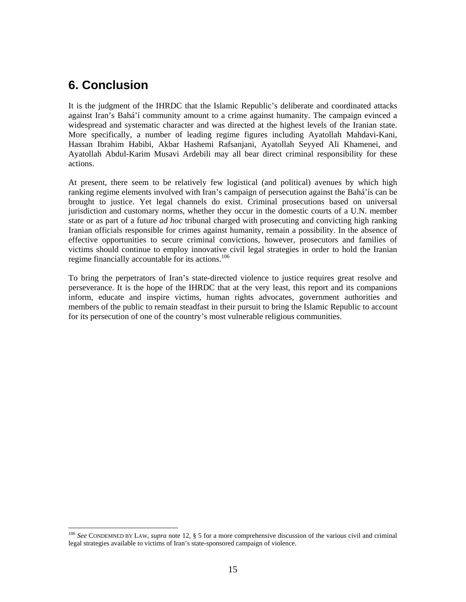## **6. Conclusion**

 $\overline{a}$ 

It is the judgment of the IHRDC that the Islamic Republic's deliberate and coordinated attacks against Iran's Bahá'í community amount to a crime against humanity. The campaign evinced a widespread and systematic character and was directed at the highest levels of the Iranian state. More specifically, a number of leading regime figures including Ayatollah Mahdavi-Kani, Hassan Ibrahim Habibi, Akbar Hashemi Rafsanjani, Ayatollah Seyyed Ali Khamenei, and Ayatollah Abdul-Karim Musavi Ardebili may all bear direct criminal responsibility for these actions.

At present, there seem to be relatively few logistical (and political) avenues by which high ranking regime elements involved with Iran's campaign of persecution against the Bahá'ís can be brought to justice. Yet legal channels do exist. Criminal prosecutions based on universal jurisdiction and customary norms, whether they occur in the domestic courts of a U.N. member state or as part of a future *ad hoc* tribunal charged with prosecuting and convicting high ranking Iranian officials responsible for crimes against humanity, remain a possibility. In the absence of effective opportunities to secure criminal convictions, however, prosecutors and families of victims should continue to employ innovative civil legal strategies in order to hold the Iranian regime financially accountable for its actions.<sup>106</sup>

To bring the perpetrators of Iran's state-directed violence to justice requires great resolve and perseverance. It is the hope of the IHRDC that at the very least, this report and its companions inform, educate and inspire victims, human rights advocates, government authorities and members of the public to remain steadfast in their pursuit to bring the Islamic Republic to account for its persecution of one of the country's most vulnerable religious communities.

<sup>106</sup> *See* CONDEMNED BY LAW, *supra* note 12, § 5 for a more comprehensive discussion of the various civil and criminal legal strategies available to victims of Iran's state-sponsored campaign of violence.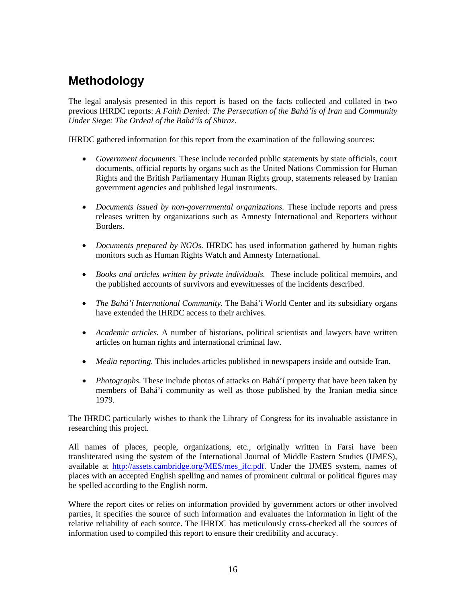## **Methodology**

The legal analysis presented in this report is based on the facts collected and collated in two previous IHRDC reports: *A Faith Denied: The Persecution of the Bahá'ís of Iran* and *Community Under Siege: The Ordeal of the Bahá'ís of Shiraz*.

IHRDC gathered information for this report from the examination of the following sources:

- *Government documents.* These include recorded public statements by state officials, court documents, official reports by organs such as the United Nations Commission for Human Rights and the British Parliamentary Human Rights group, statements released by Iranian government agencies and published legal instruments.
- *Documents issued by non-governmental organizations.* These include reports and press releases written by organizations such as Amnesty International and Reporters without Borders.
- *Documents prepared by NGOs.* IHRDC has used information gathered by human rights monitors such as Human Rights Watch and Amnesty International.
- *Books and articles written by private individuals.* These include political memoirs, and the published accounts of survivors and eyewitnesses of the incidents described.
- *The Bahá'í International Community*. The Bahá'í World Center and its subsidiary organs have extended the IHRDC access to their archives.
- *Academic articles.* A number of historians, political scientists and lawyers have written articles on human rights and international criminal law.
- *Media reporting.* This includes articles published in newspapers inside and outside Iran.
- *Photographs*. These include photos of attacks on Bahá'í property that have been taken by members of Bahá'í community as well as those published by the Iranian media since 1979.

The IHRDC particularly wishes to thank the Library of Congress for its invaluable assistance in researching this project.

All names of places, people, organizations, etc., originally written in Farsi have been transliterated using the system of the International Journal of Middle Eastern Studies (IJMES), available at http://assets.cambridge.org/MES/mes\_ifc.pdf. Under the IJMES system, names of places with an accepted English spelling and names of prominent cultural or political figures may be spelled according to the English norm.

Where the report cites or relies on information provided by government actors or other involved parties, it specifies the source of such information and evaluates the information in light of the relative reliability of each source. The IHRDC has meticulously cross-checked all the sources of information used to compiled this report to ensure their credibility and accuracy.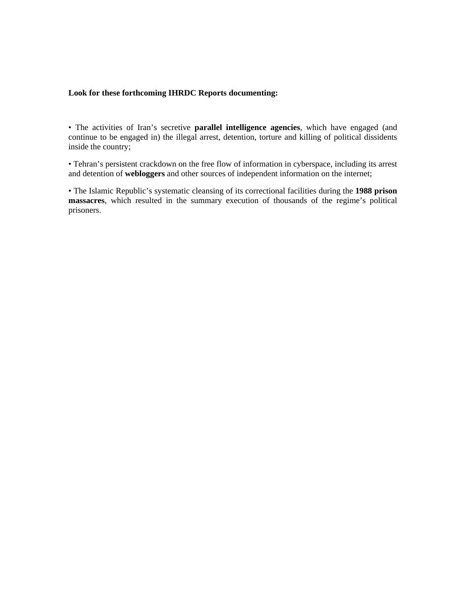#### **Look for these forthcoming IHRDC Reports documenting:**

• The activities of Iran's secretive **parallel intelligence agencies**, which have engaged (and continue to be engaged in) the illegal arrest, detention, torture and killing of political dissidents inside the country;

• Tehran's persistent crackdown on the free flow of information in cyberspace, including its arrest and detention of **webloggers** and other sources of independent information on the internet;

• The Islamic Republic's systematic cleansing of its correctional facilities during the **1988 prison massacres**, which resulted in the summary execution of thousands of the regime's political prisoners.